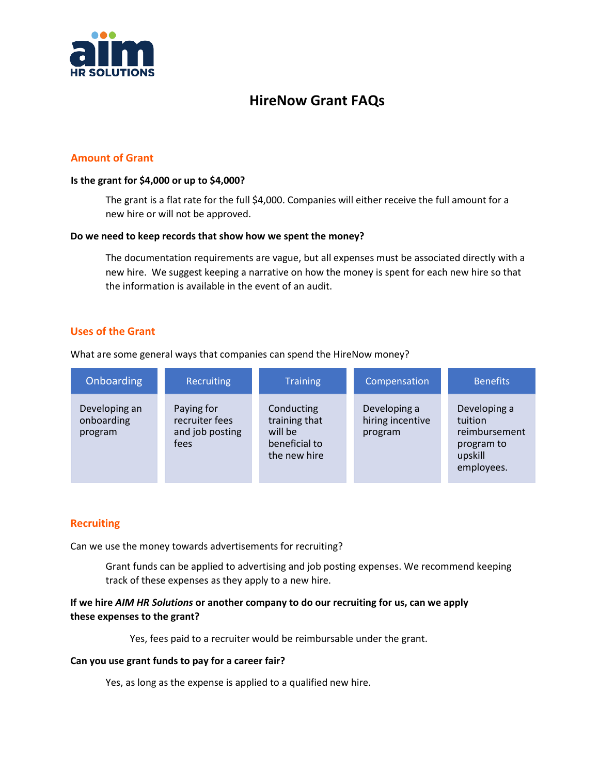

# **HireNow Grant FAQs**

# **Amount of Grant**

### **Is the grant for \$4,000 or up to \$4,000?**

The grant is a flat rate for the full \$4,000. Companies will either receive the full amount for a new hire or will not be approved.

### **Do we need to keep records that show how we spent the money?**

The documentation requirements are vague, but all expenses must be associated directly with a new hire. We suggest keeping a narrative on how the money is spent for each new hire so that the information is available in the event of an audit.

# **Uses of the Grant**

What are some general ways that companies can spend the HireNow money?

| Onboarding                             | Recruiting                                              | <b>Training</b>                                                         | Compensation                                | <b>Benefits</b>                                                                 |
|----------------------------------------|---------------------------------------------------------|-------------------------------------------------------------------------|---------------------------------------------|---------------------------------------------------------------------------------|
| Developing an<br>onboarding<br>program | Paying for<br>recruiter fees<br>and job posting<br>fees | Conducting<br>training that<br>will be<br>beneficial to<br>the new hire | Developing a<br>hiring incentive<br>program | Developing a<br>tuition<br>reimbursement<br>program to<br>upskill<br>employees. |

# **Recruiting**

Can we use the money towards advertisements for recruiting?

Grant funds can be applied to advertising and job posting expenses. We recommend keeping track of these expenses as they apply to a new hire.

# **If we hire** *AIM HR Solutions* **or another company to do our recruiting for us, can we apply these expenses to the grant?**

Yes, fees paid to a recruiter would be reimbursable under the grant.

### **Can you use grant funds to pay for a career fair?**

Yes, as long as the expense is applied to a qualified new hire.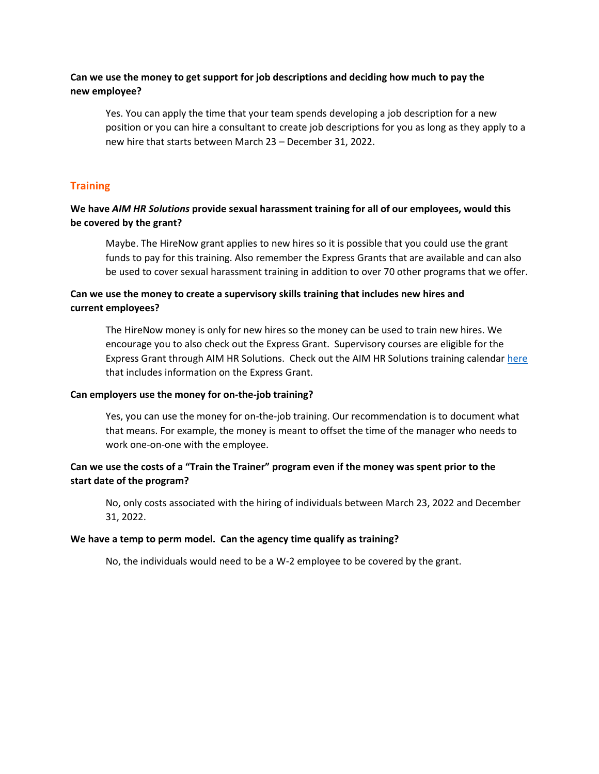# **Can we use the money to get support for job descriptions and deciding how much to pay the new employee?**

Yes. You can apply the time that your team spends developing a job description for a new position or you can hire a consultant to create job descriptions for you as long as they apply to a new hire that starts between March 23 – December 31, 2022.

# **Training**

# **We have** *AIM HR Solutions* **provide sexual harassment training for all of our employees, would this be covered by the grant?**

Maybe. The HireNow grant applies to new hires so it is possible that you could use the grant funds to pay for this training. Also remember the Express Grants that are available and can also be used to cover sexual harassment training in addition to over 70 other programs that we offer.

# **Can we use the money to create a supervisory skills training that includes new hires and current employees?**

The HireNow money is only for new hires so the money can be used to train new hires. We encourage you to also check out the Express Grant. Supervisory courses are eligible for the Express Grant through AIM HR Solutions. Check out the AIM HR Solutions training calenda[r here](https://aimhrsolutions.com/wp-content/uploads/2021/06/AIMHRSolutions_Training_Catalog.pdf) that includes information on the Express Grant.

### **Can employers use the money for on-the-job training?**

Yes, you can use the money for on-the-job training. Our recommendation is to document what that means. For example, the money is meant to offset the time of the manager who needs to work one-on-one with the employee.

# **Can we use the costs of a "Train the Trainer" program even if the money was spent prior to the start date of the program?**

No, only costs associated with the hiring of individuals between March 23, 2022 and December 31, 2022.

### **We have a temp to perm model. Can the agency time qualify as training?**

No, the individuals would need to be a W-2 employee to be covered by the grant.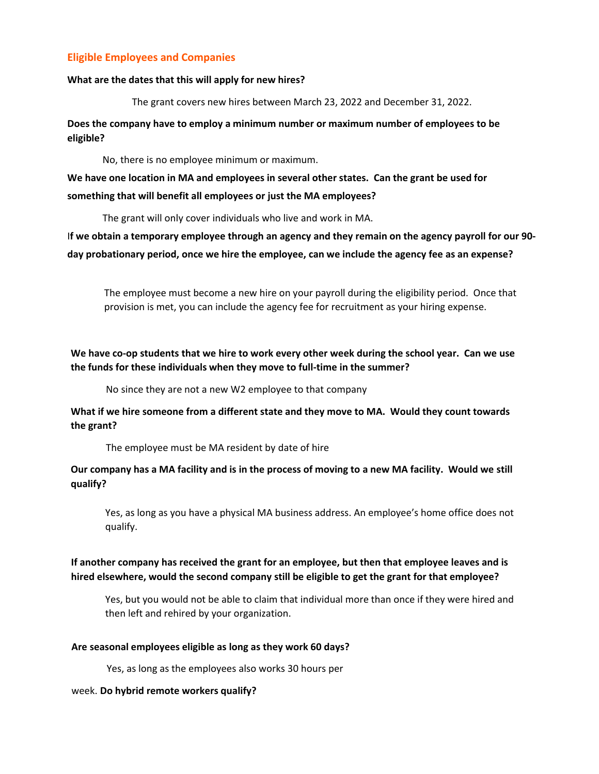# **Eligible Employees and Companies**

### **What are the dates that this will apply for new hires?**

The grant covers new hires between March 23, 2022 and December 31, 2022.

**Does the company have to employ a minimum number or maximum number of employees to be eligible?** 

No, there is no employee minimum or maximum.

**We have one location in MA and employees in several other states. Can the grant be used for something that will benefit all employees or just the MA employees?** 

The grant will only cover individuals who live and work in MA.

I**f we obtain a temporary employee through an agency and they remain on the agency payroll for our 90 day probationary period, once we hire the employee, can we include the agency fee as an expense?**

The employee must become a new hire on your payroll during the eligibility period. Once that provision is met, you can include the agency fee for recruitment as your hiring expense.

**We have co-op students that we hire to work every other week during the school year. Can we use the funds for these individuals when they move to full-time in the summer?** 

No since they are not a new W2 employee to that company

**What if we hire someone from a different state and they move to MA. Would they count towards the grant?** 

The employee must be MA resident by date of hire

# **Our company has a MA facility and is in the process of moving to a new MA facility. Would we still qualify?**

Yes, as long as you have a physical MA business address. An employee's home office does not qualify.

# **If another company has received the grant for an employee, but then that employee leaves and is hired elsewhere, would the second company still be eligible to get the grant for that employee?**

Yes, but you would not be able to claim that individual more than once if they were hired and then left and rehired by your organization.

### **Are seasonal employees eligible as long as they work 60 days?**

Yes, as long as the employees also works 30 hours per

### week. **Do hybrid remote workers qualify?**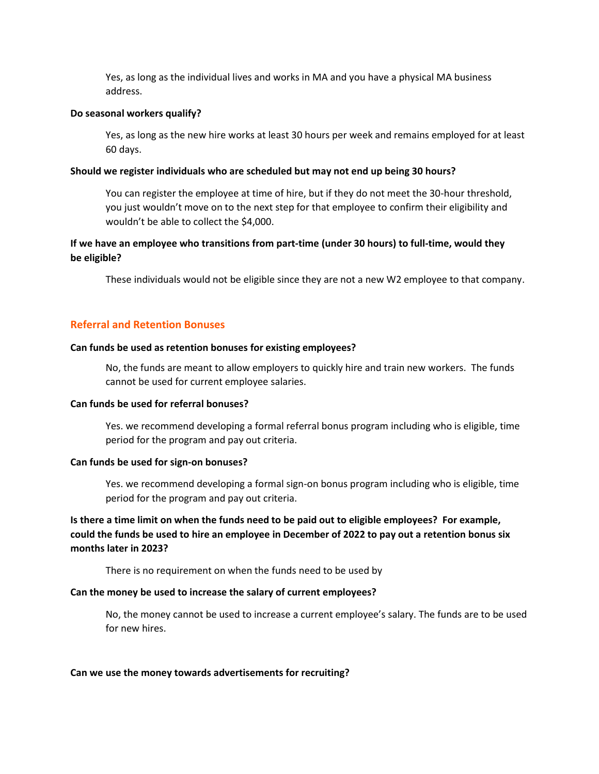Yes, as long as the individual lives and works in MA and you have a physical MA business address.

#### **Do seasonal workers qualify?**

Yes, as long as the new hire works at least 30 hours per week and remains employed for at least 60 days.

### **Should we register individuals who are scheduled but may not end up being 30 hours?**

You can register the employee at time of hire, but if they do not meet the 30-hour threshold, you just wouldn't move on to the next step for that employee to confirm their eligibility and wouldn't be able to collect the \$4,000.

# **If we have an employee who transitions from part-time (under 30 hours) to full-time, would they be eligible?**

These individuals would not be eligible since they are not a new W2 employee to that company.

### **Referral and Retention Bonuses**

#### **Can funds be used as retention bonuses for existing employees?**

No, the funds are meant to allow employers to quickly hire and train new workers. The funds cannot be used for current employee salaries.

### **Can funds be used for referral bonuses?**

Yes. we recommend developing a formal referral bonus program including who is eligible, time period for the program and pay out criteria.

### **Can funds be used for sign-on bonuses?**

Yes. we recommend developing a formal sign-on bonus program including who is eligible, time period for the program and pay out criteria.

# **Is there a time limit on when the funds need to be paid out to eligible employees? For example, could the funds be used to hire an employee in December of 2022 to pay out a retention bonus six months later in 2023?**

There is no requirement on when the funds need to be used by

### **Can the money be used to increase the salary of current employees?**

No, the money cannot be used to increase a current employee's salary. The funds are to be used for new hires.

#### **Can we use the money towards advertisements for recruiting?**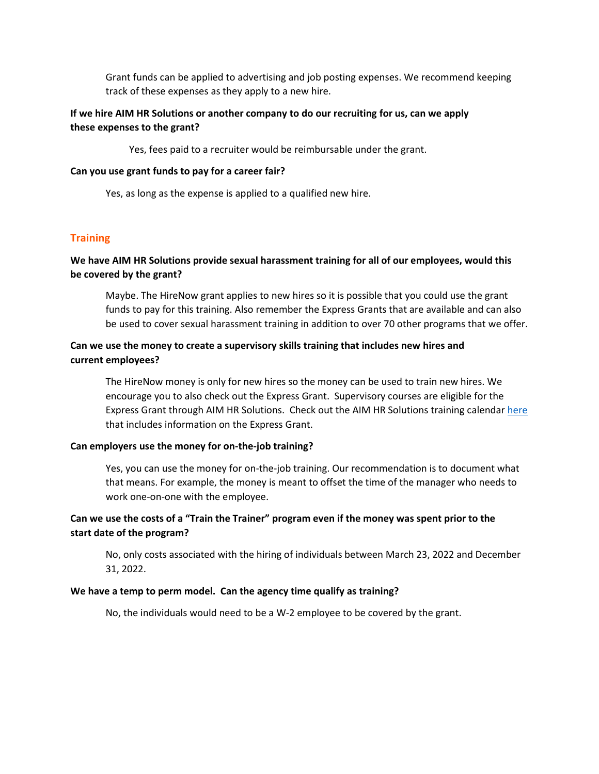Grant funds can be applied to advertising and job posting expenses. We recommend keeping track of these expenses as they apply to a new hire.

# **If we hire AIM HR Solutions or another company to do our recruiting for us, can we apply these expenses to the grant?**

Yes, fees paid to a recruiter would be reimbursable under the grant.

#### **Can you use grant funds to pay for a career fair?**

Yes, as long as the expense is applied to a qualified new hire.

### **Training**

# **We have AIM HR Solutions provide sexual harassment training for all of our employees, would this be covered by the grant?**

Maybe. The HireNow grant applies to new hires so it is possible that you could use the grant funds to pay for this training. Also remember the Express Grants that are available and can also be used to cover sexual harassment training in addition to over 70 other programs that we offer.

### **Can we use the money to create a supervisory skills training that includes new hires and current employees?**

The HireNow money is only for new hires so the money can be used to train new hires. We encourage you to also check out the Express Grant. Supervisory courses are eligible for the Express Grant through AIM HR Solutions. Check out the AIM HR Solutions training calenda[r here](https://aimhrsolutions.com/wp-content/uploads/2021/06/AIMHRSolutions_Training_Catalog.pdf) that includes information on the Express Grant.

### **Can employers use the money for on-the-job training?**

Yes, you can use the money for on-the-job training. Our recommendation is to document what that means. For example, the money is meant to offset the time of the manager who needs to work one-on-one with the employee.

# **Can we use the costs of a "Train the Trainer" program even if the money was spent prior to the start date of the program?**

No, only costs associated with the hiring of individuals between March 23, 2022 and December 31, 2022.

### **We have a temp to perm model. Can the agency time qualify as training?**

No, the individuals would need to be a W-2 employee to be covered by the grant.